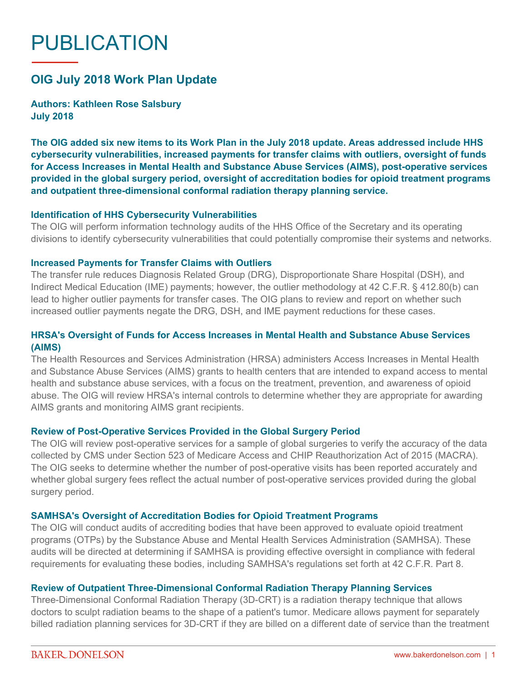# PUBLICATION

# **OIG July 2018 Work Plan Update**

**Authors: Kathleen Rose Salsbury July 2018**

**The OIG added six new items to its Work Plan in the July 2018 update. Areas addressed include HHS cybersecurity vulnerabilities, increased payments for transfer claims with outliers, oversight of funds for Access Increases in Mental Health and Substance Abuse Services (AIMS), post-operative services provided in the global surgery period, oversight of accreditation bodies for opioid treatment programs and outpatient three-dimensional conformal radiation therapy planning service.**

#### **Identification of HHS Cybersecurity Vulnerabilities**

The OIG will perform information technology audits of the HHS Office of the Secretary and its operating divisions to identify cybersecurity vulnerabilities that could potentially compromise their systems and networks.

### **Increased Payments for Transfer Claims with Outliers**

The transfer rule reduces Diagnosis Related Group (DRG), Disproportionate Share Hospital (DSH), and Indirect Medical Education (IME) payments; however, the outlier methodology at 42 C.F.R. § 412.80(b) can lead to higher outlier payments for transfer cases. The OIG plans to review and report on whether such increased outlier payments negate the DRG, DSH, and IME payment reductions for these cases.

## **HRSA's Oversight of Funds for Access Increases in Mental Health and Substance Abuse Services (AIMS)**

The Health Resources and Services Administration (HRSA) administers Access Increases in Mental Health and Substance Abuse Services (AIMS) grants to health centers that are intended to expand access to mental health and substance abuse services, with a focus on the treatment, prevention, and awareness of opioid abuse. The OIG will review HRSA's internal controls to determine whether they are appropriate for awarding AIMS grants and monitoring AIMS grant recipients.

### **Review of Post-Operative Services Provided in the Global Surgery Period**

The OIG will review post-operative services for a sample of global surgeries to verify the accuracy of the data collected by CMS under Section 523 of Medicare Access and CHIP Reauthorization Act of 2015 (MACRA). The OIG seeks to determine whether the number of post-operative visits has been reported accurately and whether global surgery fees reflect the actual number of post-operative services provided during the global surgery period.

#### **SAMHSA's Oversight of Accreditation Bodies for Opioid Treatment Programs**

The OIG will conduct audits of accrediting bodies that have been approved to evaluate opioid treatment programs (OTPs) by the Substance Abuse and Mental Health Services Administration (SAMHSA). These audits will be directed at determining if SAMHSA is providing effective oversight in compliance with federal requirements for evaluating these bodies, including SAMHSA's regulations set forth at 42 C.F.R. Part 8.

### **Review of Outpatient Three-Dimensional Conformal Radiation Therapy Planning Services**

Three-Dimensional Conformal Radiation Therapy (3D-CRT) is a radiation therapy technique that allows doctors to sculpt radiation beams to the shape of a patient's tumor. Medicare allows payment for separately billed radiation planning services for 3D-CRT if they are billed on a different date of service than the treatment